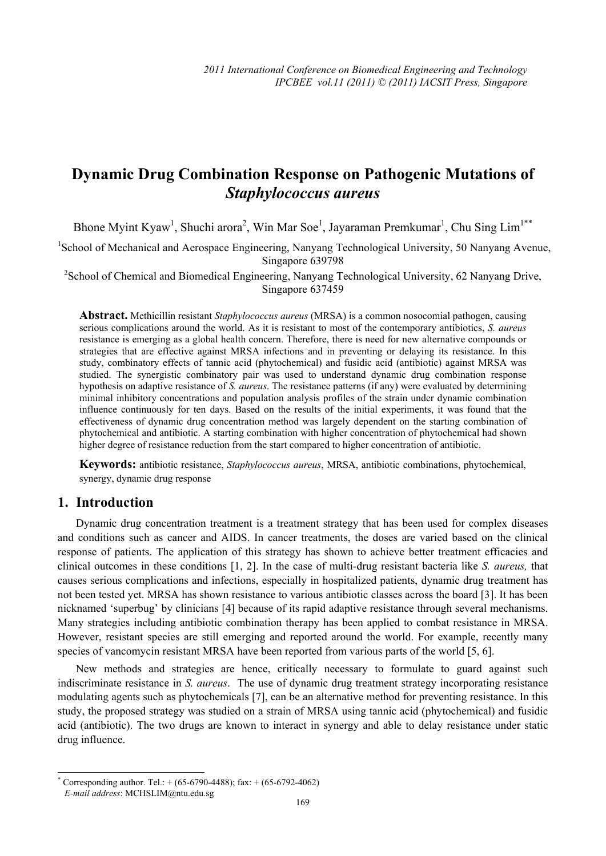# **Dynamic Drug Combination Response on Pathogenic Mutations of**  *Staphylococcus aureus*

Bhone Myint Kyaw<sup>1</sup>, Shuchi arora<sup>2</sup>, Win Mar Soe<sup>1</sup>, Jayaraman Premkumar<sup>1</sup>, Chu Sing Lim<sup>1\*\*</sup>

<sup>1</sup>School of Mechanical and Aerospace Engineering, Nanyang Technological University, 50 Nanyang Avenue, Singapore 639798

<sup>2</sup>School of Chemical and Biomedical Engineering, Nanyang Technological University, 62 Nanyang Drive, Singapore 637459

**Abstract.** Methicillin resistant *Staphylococcus aureus* (MRSA) is a common nosocomial pathogen, causing serious complications around the world. As it is resistant to most of the contemporary antibiotics, *S. aureus* resistance is emerging as a global health concern. Therefore, there is need for new alternative compounds or strategies that are effective against MRSA infections and in preventing or delaying its resistance. In this study, combinatory effects of tannic acid (phytochemical) and fusidic acid (antibiotic) against MRSA was studied. The synergistic combinatory pair was used to understand dynamic drug combination response hypothesis on adaptive resistance of *S. aureus*. The resistance patterns (if any) were evaluated by determining minimal inhibitory concentrations and population analysis profiles of the strain under dynamic combination influence continuously for ten days. Based on the results of the initial experiments, it was found that the effectiveness of dynamic drug concentration method was largely dependent on the starting combination of phytochemical and antibiotic. A starting combination with higher concentration of phytochemical had shown higher degree of resistance reduction from the start compared to higher concentration of antibiotic.

**Keywords:** antibiotic resistance, *Staphylococcus aureus*, MRSA, antibiotic combinations, phytochemical, synergy, dynamic drug response

#### **1. Introduction**

Dynamic drug concentration treatment is a treatment strategy that has been used for complex diseases and conditions such as cancer and AIDS. In cancer treatments, the doses are varied based on the clinical response of patients. The application of this strategy has shown to achieve better treatment efficacies and clinical outcomes in these conditions [1, 2]. In the case of multi-drug resistant bacteria like *S. aureus,* that causes serious complications and infections, especially in hospitalized patients, dynamic drug treatment has not been tested yet. MRSA has shown resistance to various antibiotic classes across the board [3]. It has been nicknamed 'superbug' by clinicians [4] because of its rapid adaptive resistance through several mechanisms. Many strategies including antibiotic combination therapy has been applied to combat resistance in MRSA. However, resistant species are still emerging and reported around the world. For example, recently many species of vancomycin resistant MRSA have been reported from various parts of the world [5, 6].

New methods and strategies are hence, critically necessary to formulate to guard against such indiscriminate resistance in *S. aureus*. The use of dynamic drug treatment strategy incorporating resistance modulating agents such as phytochemicals [7], can be an alternative method for preventing resistance. In this study, the proposed strategy was studied on a strain of MRSA using tannic acid (phytochemical) and fusidic acid (antibiotic). The two drugs are known to interact in synergy and able to delay resistance under static drug influence.

 <sup>\*</sup> Corresponding author. Tel.:  $+(65-6790-4488)$ ; fax:  $+(65-6792-4062)$ *E-mail address*: MCHSLIM@ntu.edu.sg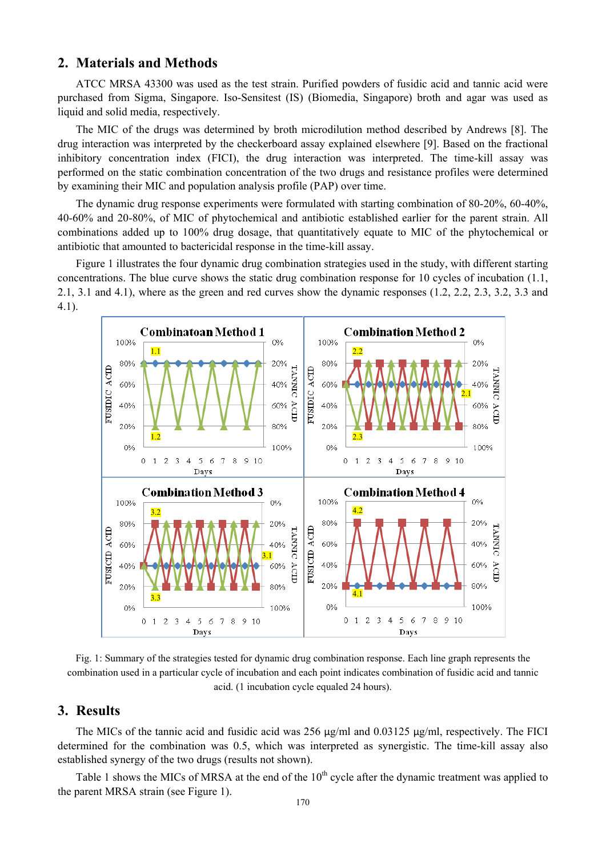## **2. Materials and Methods**

ATCC MRSA 43300 was used as the test strain. Purified powders of fusidic acid and tannic acid were purchased from Sigma, Singapore. Iso-Sensitest (IS) (Biomedia, Singapore) broth and agar was used as liquid and solid media, respectively.

The MIC of the drugs was determined by broth microdilution method described by Andrews [8]. The drug interaction was interpreted by the checkerboard assay explained elsewhere [9]. Based on the fractional inhibitory concentration index (FICI), the drug interaction was interpreted. The time-kill assay was performed on the static combination concentration of the two drugs and resistance profiles were determined by examining their MIC and population analysis profile (PAP) over time.

The dynamic drug response experiments were formulated with starting combination of 80-20%, 60-40%, 40-60% and 20-80%, of MIC of phytochemical and antibiotic established earlier for the parent strain. All combinations added up to 100% drug dosage, that quantitatively equate to MIC of the phytochemical or antibiotic that amounted to bactericidal response in the time-kill assay.

Figure 1 illustrates the four dynamic drug combination strategies used in the study, with different starting concentrations. The blue curve shows the static drug combination response for 10 cycles of incubation (1.1, 2.1, 3.1 and 4.1), where as the green and red curves show the dynamic responses (1.2, 2.2, 2.3, 3.2, 3.3 and 4.1).



Fig. 1: Summary of the strategies tested for dynamic drug combination response. Each line graph represents the combination used in a particular cycle of incubation and each point indicates combination of fusidic acid and tannic acid. (1 incubation cycle equaled 24 hours).

## **3. Results**

The MICs of the tannic acid and fusidic acid was 256  $\mu$ g/ml and 0.03125  $\mu$ g/ml, respectively. The FICI determined for the combination was 0.5, which was interpreted as synergistic. The time-kill assay also established synergy of the two drugs (results not shown).

Table 1 shows the MICs of MRSA at the end of the 10<sup>th</sup> cycle after the dynamic treatment was applied to the parent MRSA strain (see Figure 1).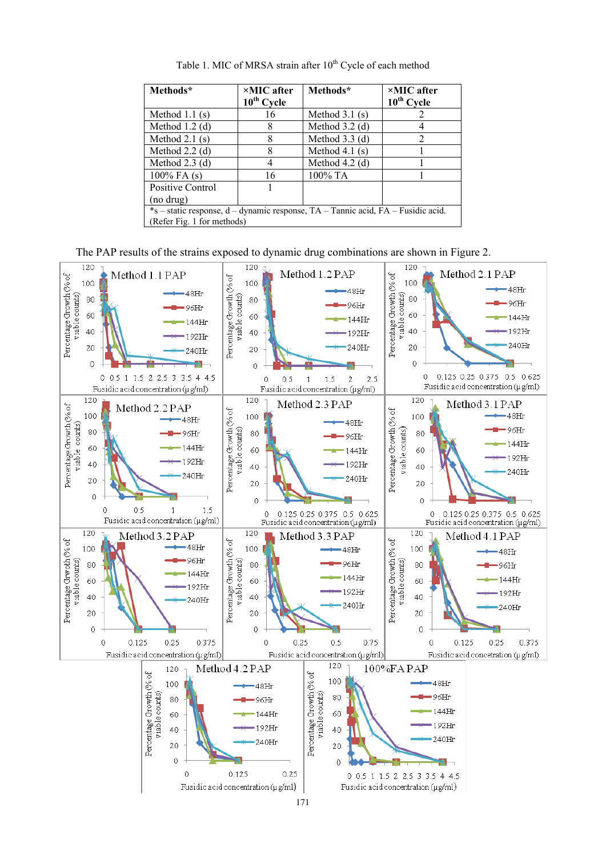| Methods*                                                                         | $\times$ MIC after<br>$10^{\text{th}}$ Cycle | Methods*         | $\times$ MIC after<br>$10^{\text{th}}$ Cycle |
|----------------------------------------------------------------------------------|----------------------------------------------|------------------|----------------------------------------------|
| Method $1.1$ (s)                                                                 | 16                                           | Method $3.1$ (s) |                                              |
| Method $1.2$ (d)                                                                 | 8                                            | Method $3.2$ (d) |                                              |
| Method $2.1$ (s)                                                                 | 8                                            | Method $3.3$ (d) | 2                                            |
| Method $2.2$ (d)                                                                 | 8                                            | Method 4.1 $(s)$ |                                              |
| Method $2.3$ (d)                                                                 | 4                                            | Method $4.2$ (d) |                                              |
| $100\%$ FA $(s)$                                                                 | 16                                           | 100% TA          |                                              |
| Positive Control                                                                 |                                              |                  |                                              |
| (no drug)                                                                        |                                              |                  |                                              |
| *s – static response, d – dynamic response, TA – Tannic acid, FA – Fusidic acid. |                                              |                  |                                              |
| (Refer Fig. 1 for methods)                                                       |                                              |                  |                                              |

Table 1. MIC of MRSA strain after 10<sup>th</sup> Cycle of each method

The PAP results of the strains exposed to dynamic drug combinations are shown in Figure 2.

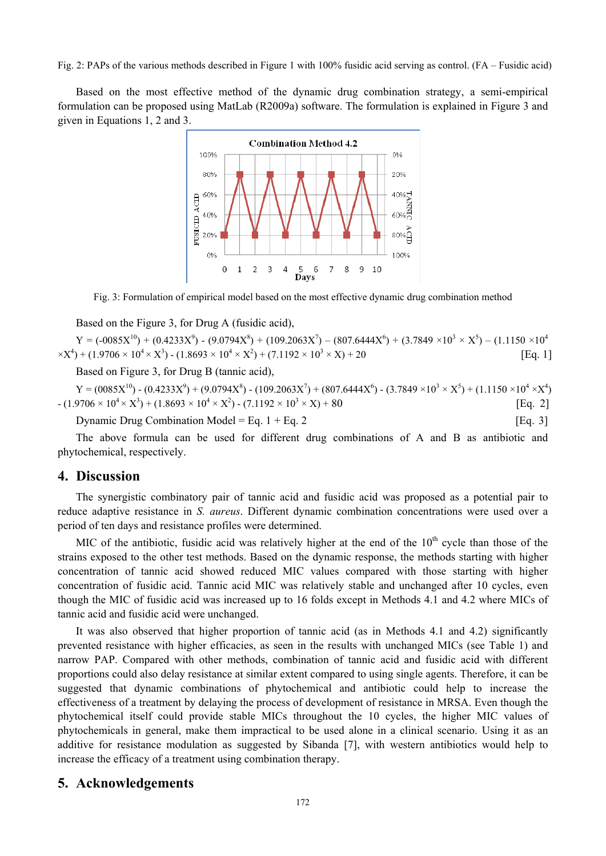Fig. 2: PAPs of the various methods described in Figure 1 with 100% fusidic acid serving as control. (FA – Fusidic acid)

Based on the most effective method of the dynamic drug combination strategy, a semi-empirical formulation can be proposed using MatLab (R2009a) software. The formulation is explained in Figure 3 and given in Equations 1, 2 and 3.



Fig. 3: Formulation of empirical model based on the most effective dynamic drug combination method

Based on the Figure 3, for Drug A (fusidic acid),

 $Y = (-0085X^{10}) + (0.4233X^9) - (9.0794X^8) + (109.2063X^7) - (807.6444X^6) + (3.7849 \times 10^3 \times X^5) - (1.1150 \times 10^4)$  $(X^4) + (1.9706 \times 10^4 \times X^3) - (1.8693 \times 10^4 \times X^2) + (7.1192 \times 10^3 \times X) + 20$  [Eq. 1]

Based on Figure 3, for Drug B (tannic acid),

 $Y = (0.085X^{10}) - (0.4233X^9) + (9.0794X^8) - (109.2063X^7) + (807.6444X^6) - (3.7849 \times 10^3 \times X^5) + (1.1150 \times 10^4 \times X^4)$  $- (1.9706 \times 10^4 \times \text{X}^3) + (1.8693 \times 10^4 \times \text{X}^2) - (7.1192 \times 10^3 \times \text{X}) + 80$  [Eq. 2]

Dynamic Drug Combination Model = Eq.  $1 + Eq. 2$  [Eq. 3]

The above formula can be used for different drug combinations of A and B as antibiotic and phytochemical, respectively.

#### **4. Discussion**

The synergistic combinatory pair of tannic acid and fusidic acid was proposed as a potential pair to reduce adaptive resistance in *S. aureus*. Different dynamic combination concentrations were used over a period of ten days and resistance profiles were determined.

MIC of the antibiotic, fusidic acid was relatively higher at the end of the  $10<sup>th</sup>$  cycle than those of the strains exposed to the other test methods. Based on the dynamic response, the methods starting with higher concentration of tannic acid showed reduced MIC values compared with those starting with higher concentration of fusidic acid. Tannic acid MIC was relatively stable and unchanged after 10 cycles, even though the MIC of fusidic acid was increased up to 16 folds except in Methods 4.1 and 4.2 where MICs of tannic acid and fusidic acid were unchanged.

It was also observed that higher proportion of tannic acid (as in Methods 4.1 and 4.2) significantly prevented resistance with higher efficacies, as seen in the results with unchanged MICs (see Table 1) and narrow PAP. Compared with other methods, combination of tannic acid and fusidic acid with different proportions could also delay resistance at similar extent compared to using single agents. Therefore, it can be suggested that dynamic combinations of phytochemical and antibiotic could help to increase the effectiveness of a treatment by delaying the process of development of resistance in MRSA. Even though the phytochemical itself could provide stable MICs throughout the 10 cycles, the higher MIC values of phytochemicals in general, make them impractical to be used alone in a clinical scenario. Using it as an additive for resistance modulation as suggested by Sibanda [7], with western antibiotics would help to increase the efficacy of a treatment using combination therapy.

## **5. Acknowledgements**